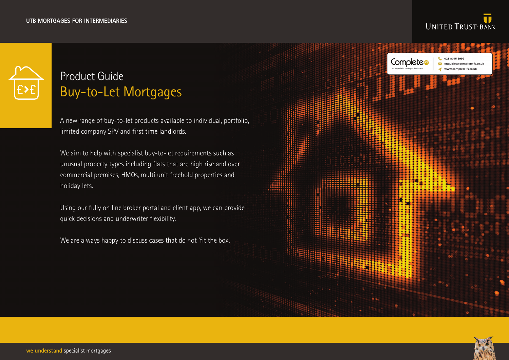

## Product Guide Buy-to-Let Mortgages

A new range of buy-to-let products available to individual, portfolio, limited company SPV and first time landlords.

We aim to help with specialist buy-to-let requirements such as unusual property types including flats that are high rise and over commercial premises, HMOs, multi unit freehold properties and holiday lets.

Using our fully on line broker portal and client app, we can provide quick decisions and underwriter flexibility.

We are always happy to discuss cases that do not 'fit the box'.



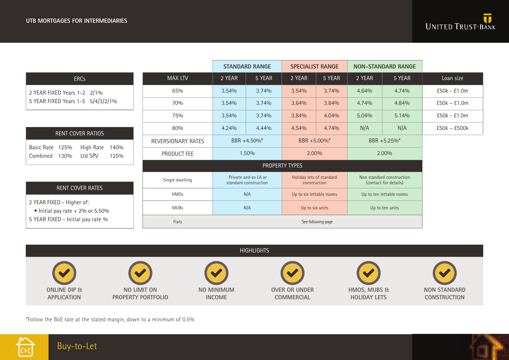|                                                                                                                                       |                    | <b>STANDARD RANGE</b>                         |        | <b>SPECIALIST RANGE</b>                  |        | <b>NON-STANDARD RANGE</b>                          |        |                |
|---------------------------------------------------------------------------------------------------------------------------------------|--------------------|-----------------------------------------------|--------|------------------------------------------|--------|----------------------------------------------------|--------|----------------|
| <b>ERCs</b>                                                                                                                           | <b>MAX LTV</b>     | 2 YEAR                                        | 5 YEAR | 2 YEAR                                   | 5 YEAR | 2 YEAR                                             | 5 YEAR | Loan size      |
| 2 YEAR FIXED Years 1-2 2/1%<br>5 YEAR FIXED Years 1-5 5/4/3/2/1%                                                                      | 65%                | 3.54%                                         | 3.74%  | 3.54%                                    | 3.74%  | 4.64%                                              | 4.74%  | £50k - £1.0m   |
|                                                                                                                                       | 70%                | 3.54%                                         | 3.74%  | 3.64%                                    | 3.84%  | 4.74%                                              | 4.84%  | $E50k - E1.0m$ |
|                                                                                                                                       | 75%                | 3.54%                                         | 3.74%  | 3.84%                                    | 4.04%  | 5.04%                                              | 5.14%  | £50k - £1.0m   |
| <b>RENT COVER RATIOS</b>                                                                                                              | 80%                | 4.24%                                         | 4.44%  | 4.54%                                    | 4.74%  | N/A                                                | N/A    | £50k - £500k   |
| High Rate<br><b>Basic Rate</b><br>125%<br>140%<br>130%<br>Ltd SPV<br>Combined<br>125%                                                 | REVERSIONARY RATES | BBR +4.50%*                                   |        | BBR +5.00%*                              |        | BBR +5.25%*                                        |        |                |
|                                                                                                                                       | PRODUCT FEE        | 1.50%                                         |        | 2.00%                                    |        | 2.00%                                              |        |                |
|                                                                                                                                       | PROPERTY TYPES     |                                               |        |                                          |        |                                                    |        |                |
| <b>RENT COVER RATES</b><br>2 YEAR FIXED - Higher of:<br>$\bullet$ Initial pay rate + 2% or 5.50%<br>5 YEAR FIXED - Initial pay rate % | Single dwelling    | Private and ex LA or<br>standard construction |        | Holiday lets of standard<br>construction |        | Non standard construction<br>(contact for details) |        |                |
|                                                                                                                                       | <b>HMOs</b>        | N/A                                           |        | Up to six lettable rooms                 |        | Up to ten lettable rooms                           |        |                |
|                                                                                                                                       | <b>MUBs</b>        | N/A                                           |        | Up to six units                          |        | Up to ten units                                    |        |                |
|                                                                                                                                       | Flats              | See following page                            |        |                                          |        |                                                    |        |                |



\*Follow the BoE rate at the stated margin, down to a minimum of 0.5%